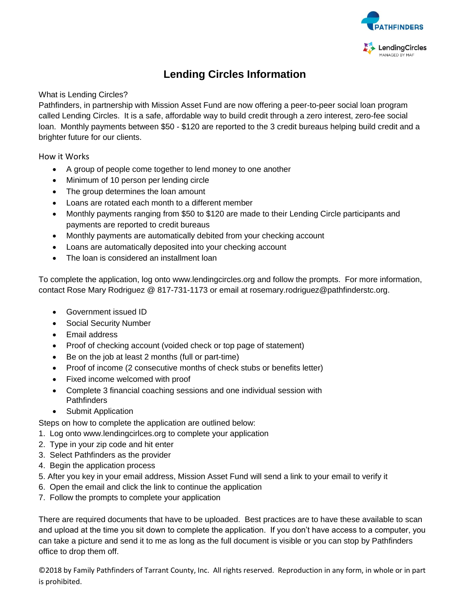

### **Lending Circles Information**

What is Lending Circles?

Pathfinders, in partnership with Mission Asset Fund are now offering a peer-to-peer social loan program called Lending Circles. It is a safe, affordable way to build credit through a zero interest, zero-fee social loan. Monthly payments between \$50 - \$120 are reported to the 3 credit bureaus helping build credit and a brighter future for our clients.

How it Works

- A group of people come together to lend money to one another
- Minimum of 10 person per lending circle
- The group determines the loan amount
- Loans are rotated each month to a different member
- Monthly payments ranging from \$50 to \$120 are made to their Lending Circle participants and payments are reported to credit bureaus
- Monthly payments are automatically debited from your checking account
- Loans are automatically deposited into your checking account
- The loan is considered an installment loan

To complete the application, log onto [www.lendingcircles.org](http://www.lendingcircles.org/) and follow the prompts. For more information, contact Rose Mary Rodriguez @ 817-731-1173 or email at rosemary.rodriguez@pathfinderstc.org.

- Government issued ID
- Social Security Number
- Email address
- Proof of checking account (voided check or top page of statement)
- Be on the job at least 2 months (full or part-time)
- Proof of income (2 consecutive months of check stubs or benefits letter)
- Fixed income welcomed with proof
- Complete 3 financial coaching sessions and one individual session with **Pathfinders**
- Submit Application

Steps on how to complete the application are outlined below:

- 1. Log onto [www.lendingcirlces.org](http://www.lendingcirlces.org/) to complete your application
- 2. Type in your zip code and hit enter
- 3. Select Pathfinders as the provider
- 4. Begin the application process
- 5. After you key in your email address, Mission Asset Fund will send a link to your email to verify it
- 6. Open the email and click the link to continue the application
- 7. Follow the prompts to complete your application

There are required documents that have to be uploaded. Best practices are to have these available to scan and upload at the time you sit down to complete the application. If you don't have access to a computer, you can take a picture and send it to me as long as the full document is visible or you can stop by Pathfinders office to drop them off.

©2018 by Family Pathfinders of Tarrant County, Inc. All rights reserved. Reproduction in any form, in whole or in part is prohibited.